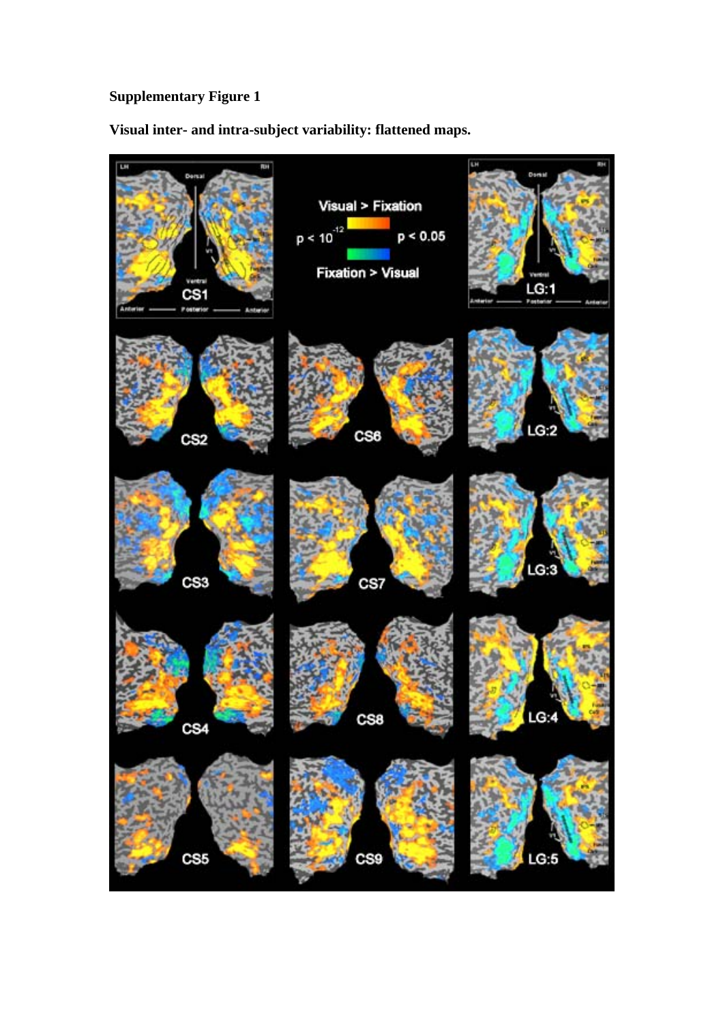**Visual inter- and intra-subject variability: flattened maps.** 

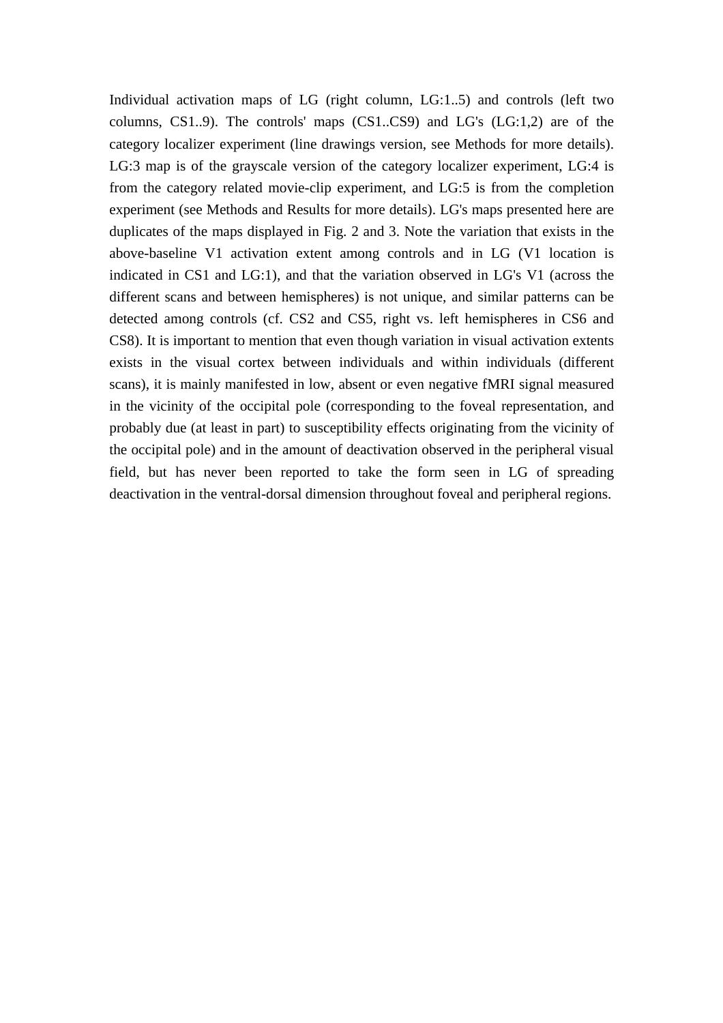Individual activation maps of LG (right column, LG:1..5) and controls (left two columns, CS1..9). The controls' maps (CS1..CS9) and LG's (LG:1,2) are of the category localizer experiment (line drawings version, see Methods for mo re details). LG:3 map is of the grayscale version of the category localizer experiment, LG:4 is from the category related movie-clip experiment, and LG:5 is from the c ompletion experiment (see Methods and Results for more details). LG's maps presente d here are duplicates of the maps displayed in Fig. 2 and 3. Note the variation that exists in the above-baseline V1 activation extent among controls and in LG (V1 location is indicated in CS1 and LG:1), and that the variation observed in LG's V1 ( across the different scans and between hemispheres) is not unique, and similar patterns can be detected among controls (cf. CS2 and CS5, right vs. left hemispheres in CS6 and CS8). It is important to mention that even though variation in visual activat ion extents exists in the visual cortex between individuals and within individuals (different scans), it is mainly manifested in low, absent or even negative fMRI signa l measured in the vicinity of the occipital pole (corresponding to the foveal represent ation, and probably due (at least in part) to susceptibility effects originating from the vicinity of the occipital pole) and in the amount of deactivation observed in the peripheral visual field, but has never been reported to take the form seen in LG of spreading deactivation in the ventral-dorsal dimension throughout foveal and peripheral regions.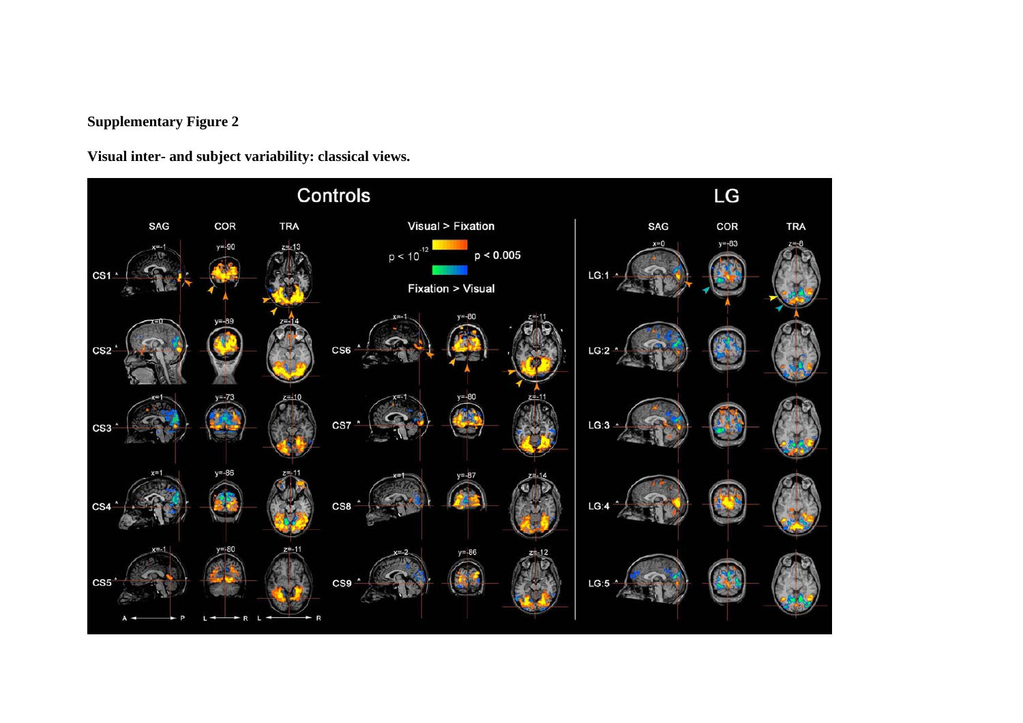**Visual inter- and subject variability: classical views.** 

![](_page_2_Figure_2.jpeg)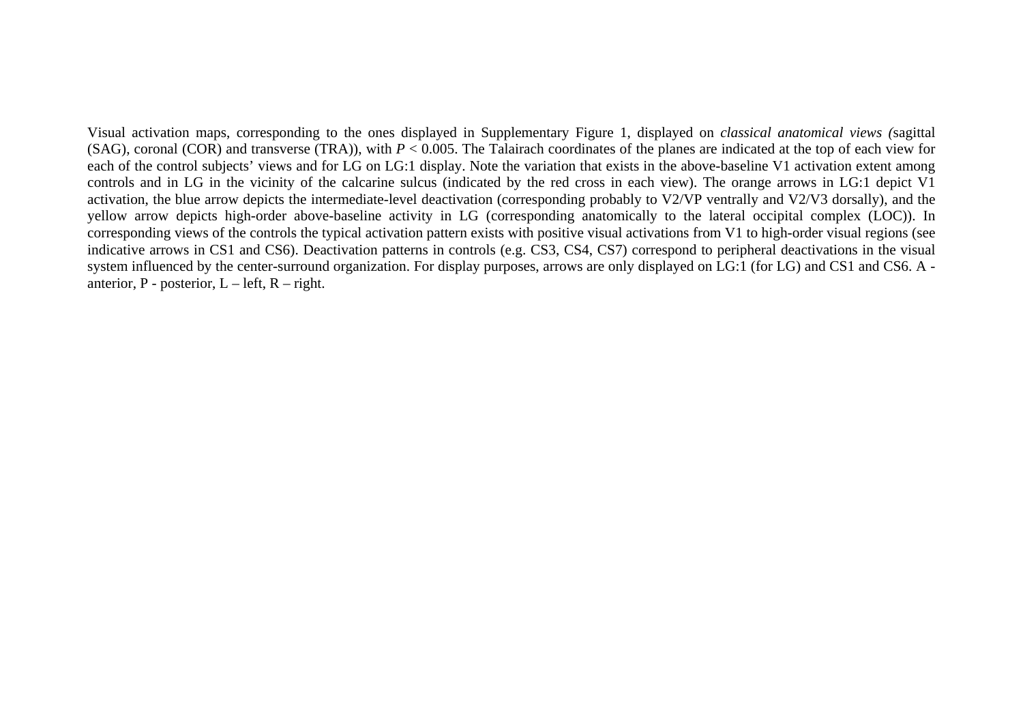Visual activation maps, corresponding to the ones displayed in Supplementary Figure 1, displayed on *classical anatomical views (*sagittal (SAG), coronal (COR) and transverse (TRA)), with *P* < 0.005. The Talairach coordinates of the planes are indicated at the top of each view for each of the control subjects' views and for LG on LG:1 display. Note the variation that exists in the above-baseline V1 activation extent among controls and in LG in the vicinity of the calcarine sulcus (indicated by the red cross in each view). The orange arrows in LG:1 depict V1 activation, the blue arrow depicts the intermediate-level deactivation (corresponding probably to V2/VP ventrally and V2/V3 dorsally), and the yellow arrow depicts high-order above-baseline activity in LG (corresponding anatomically to the lateral occipital complex (LOC)). In corresponding views of the controls the typical activation pattern exists with positive visual activations from V1 to high-order visual regions (see indicative arrows in CS1 and CS6). Deactivation patterns in controls (e.g. CS3, CS4, CS7) correspond to peripheral deactivations in the visual system influenced by the center-surround organization. For display purposes, arrows are only displayed on LG:1 (for LG) and CS1 and CS6. A anterior,  $P$  - posterior,  $L$  – left,  $R$  – right.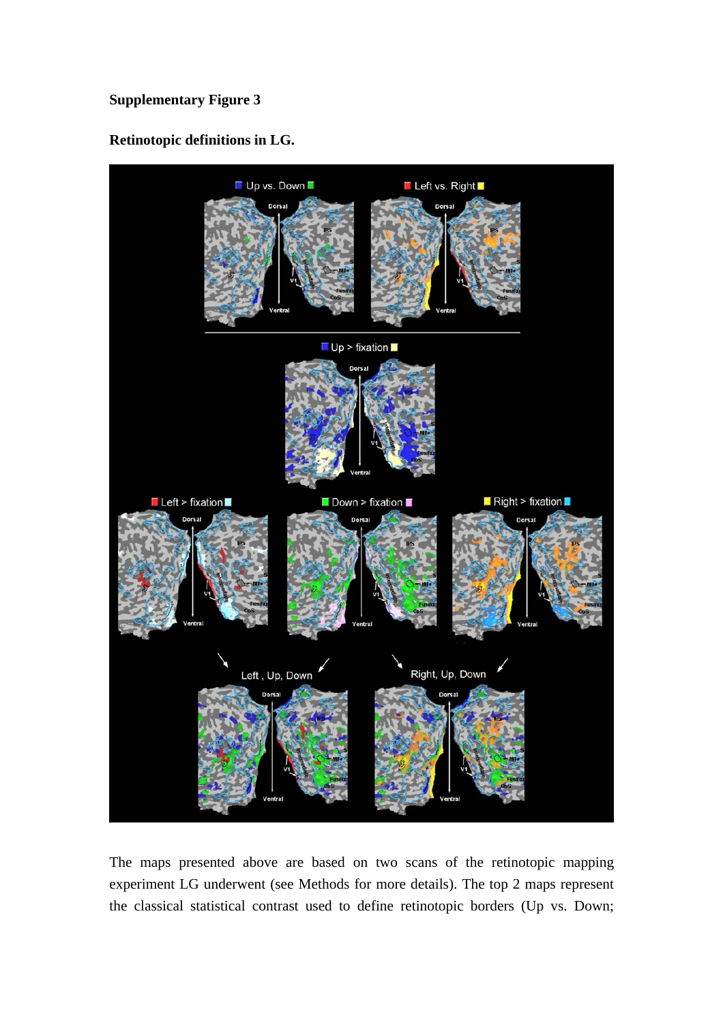## **Retinotopic definitions in LG.**

![](_page_4_Figure_2.jpeg)

The maps presented above are based on two scans of the retinotopic mapping experiment LG underwent (see Methods for more details). The top 2 maps represent the classical statistical contrast used to define retinotopic borders (Up vs. Down;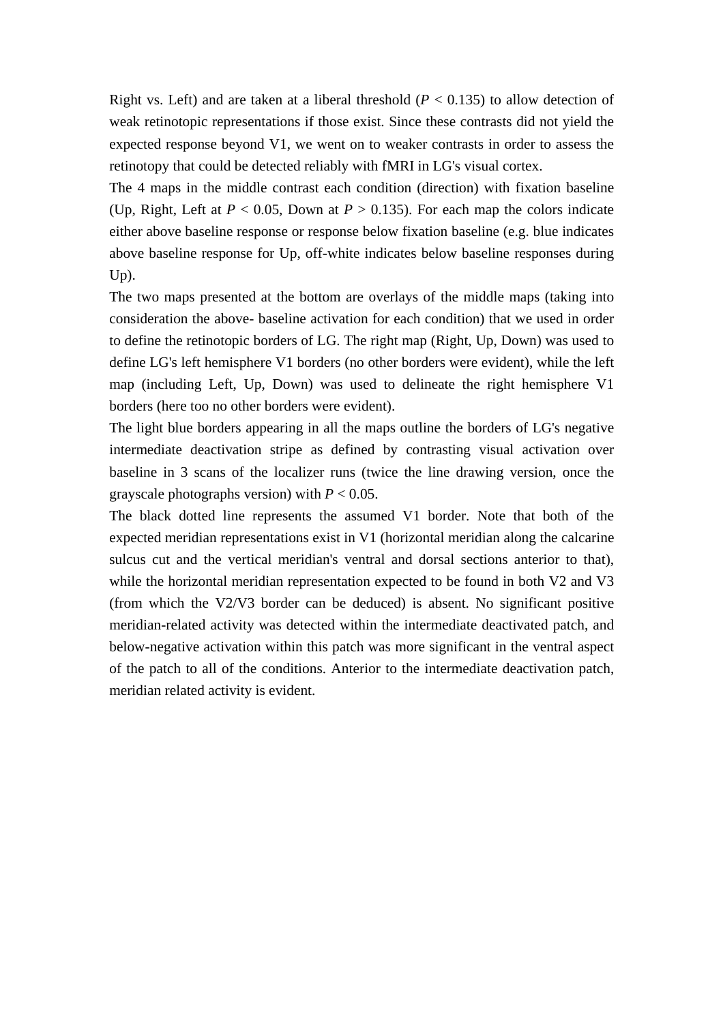Right vs. Left) and are taken at a liberal threshold  $(P < 0.135)$  to allow detection of weak retinotopic representations if those exist. Since these contrasts did no t yield the expected response beyond V1, we went on to weaker contrasts in order to assess the retinotopy that could be detected reliably with fMRI in LG's visual cortex.

The 4 maps in the middle contrast each condition (direction) with fixation baseline (Up, Right, Left at  $P < 0.05$ , Down at  $P > 0.135$ ). For each map the colors indicate either above baseline response or response below fixation baseline (e.g. blue indicates above baseline response for Up, off-white indicates below baseline responses during  $Up$ ).

The two maps presented at the bottom are overlays of the middle maps (taking into consideration the above- baseline activation for each condition) that we used in order to define the retinotopic borders of LG. The right map (Right, Up, Down) was used to define LG's left hemisphere V1 borders (no other borders were evident), while the left map (including Left, Up, Down) was used to delineate the right hemisphere V1 borders (here too no other borders were evident).

The light blue borders appearing in all the maps outline the borders of LG's negative intermediate deactivation stripe as defined by contrasting visual activation over baseline in 3 scans of the localizer runs (twice the line drawing version, once the grayscale photographs version) with  $P < 0.05$ .

The black dotted line represents the assumed V1 border. Note that both of the expected meridian representations exist in V1 (horizontal meridian along the calcarine sulcus cut and the vertical meridian's ventral and dorsal sections anterior to that), while the horizontal meridian representation expected to be found in both V2 and V3 meridian-related activity was detected within the intermediate deactivated patch, and below-negative activation within this patch was more significant in the ventral aspect of the patch to all of the conditions. Anterior to the intermediate deactivation patch, meridian related activity is evident. (from which the V2/V3 border can be deduced) is absent. No significant positive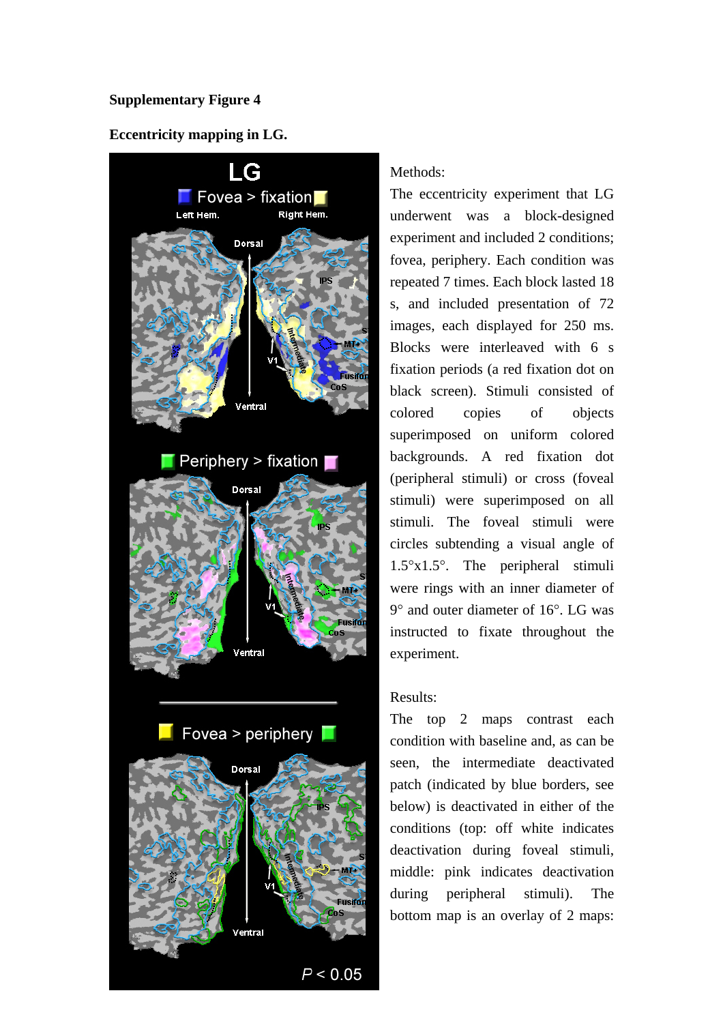#### **Eccentricity mapping in LG.**

![](_page_6_Figure_2.jpeg)

#### Methods:

The eccentricity experiment that LG underwent was a block-designed experiment and included 2 conditions; repeated 7 times. Each block lasted 18 s, and included presentation of 72 images, each displayed for 250 ms. Blocks were interleaved with 6 s fixation periods (a red fixation dot on black screen). Stimuli consisted of objects superimposed on uniform colored backgrounds. A red fixation dot (peripheral stimuli) or cross (foveal stimuli) were superimposed on all stimuli. The foveal stimuli were circles subtending a visual angle of  $1.5^\circ x 1.5^\circ$ . The peripheral stimuli were rings with an inner diameter of 9° and outer diameter of 16°. LG was instructed to fixate throughout the fovea, periphery. Each condition was colored copies of experiment.

#### Results:

The top 2 maps contrast each condition with baseline and, as can be seen, the intermediate deactivated patch (indicated by blue borders, see below) is deactivated in either of the conditions (top: off white indicates deactivation during foveal stimuli, middle: pink indicates deactivation during peripheral stimuli). The bottom map is an overlay of 2 maps: